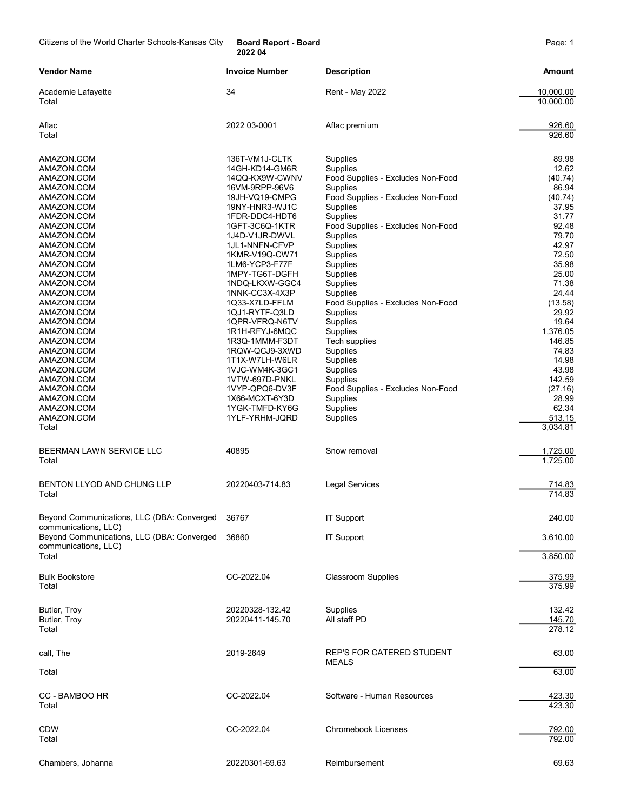Citizens of the World Charter Schools-Kansas City Board Report - Board News 2014

2022 04

| <b>Vendor Name</b>                                                       | <b>Invoice Number</b>            | <b>Description</b>                            | Amount                 |
|--------------------------------------------------------------------------|----------------------------------|-----------------------------------------------|------------------------|
| Academie Lafayette<br>Total                                              | 34                               | <b>Rent - May 2022</b>                        | 10,000.00<br>10,000.00 |
| Aflac<br>Total                                                           | 2022 03-0001                     | Aflac premium                                 | 926.60<br>926.60       |
| AMAZON.COM                                                               | 136T-VM1J-CLTK                   | Supplies                                      | 89.98                  |
| AMAZON.COM                                                               | 14GH-KD14-GM6R                   | Supplies                                      | 12.62                  |
| AMAZON.COM                                                               | 14QQ-KX9W-CWNV                   | Food Supplies - Excludes Non-Food             | (40.74)                |
| AMAZON.COM<br>AMAZON.COM                                                 | 16VM-9RPP-96V6<br>19JH-VQ19-CMPG | Supplies<br>Food Supplies - Excludes Non-Food | 86.94<br>(40.74)       |
| AMAZON.COM                                                               | 19NY-HNR3-WJ1C                   | Supplies                                      | 37.95                  |
| AMAZON.COM                                                               | 1FDR-DDC4-HDT6                   | Supplies                                      | 31.77                  |
| AMAZON.COM                                                               | 1GFT-3C6Q-1KTR                   | Food Supplies - Excludes Non-Food             | 92.48                  |
| AMAZON.COM                                                               | 1J4D-V1JR-DWVL                   | Supplies                                      | 79.70                  |
| AMAZON.COM                                                               | 1JL1-NNFN-CFVP                   | Supplies                                      | 42.97                  |
| AMAZON.COM                                                               | 1KMR-V19Q-CW71                   | Supplies                                      | 72.50                  |
| AMAZON.COM                                                               | 1LM6-YCP3-F77F                   | Supplies                                      | 35.98                  |
| AMAZON.COM<br>AMAZON.COM                                                 | 1MPY-TG6T-DGFH<br>1NDQ-LKXW-GGC4 | Supplies<br>Supplies                          | 25.00<br>71.38         |
| AMAZON.COM                                                               | 1NNK-CC3X-4X3P                   | Supplies                                      | 24.44                  |
| AMAZON.COM                                                               | 1Q33-X7LD-FFLM                   | Food Supplies - Excludes Non-Food             | (13.58)                |
| AMAZON.COM                                                               | 1QJ1-RYTF-Q3LD                   | Supplies                                      | 29.92                  |
| AMAZON.COM                                                               | 1QPR-VFRQ-N6TV                   | Supplies                                      | 19.64                  |
| AMAZON.COM                                                               | 1R1H-RFYJ-6MQC                   | Supplies                                      | 1,376.05               |
| AMAZON.COM                                                               | 1R3Q-1MMM-F3DT                   | Tech supplies                                 | 146.85                 |
| AMAZON.COM<br>AMAZON.COM                                                 | 1RQW-QCJ9-3XWD<br>1T1X-W7LH-W6LR | Supplies<br>Supplies                          | 74.83<br>14.98         |
| AMAZON.COM                                                               | 1VJC-WM4K-3GC1                   | Supplies                                      | 43.98                  |
| AMAZON.COM                                                               | 1VTW-697D-PNKL                   | Supplies                                      | 142.59                 |
| AMAZON.COM                                                               | 1VYP-QPQ6-DV3F                   | Food Supplies - Excludes Non-Food             | (27.16)                |
| AMAZON.COM                                                               | 1X66-MCXT-6Y3D                   | Supplies                                      | 28.99                  |
| AMAZON.COM                                                               | 1YGK-TMFD-KY6G                   | Supplies                                      | 62.34                  |
| AMAZON.COM                                                               | 1YLF-YRHM-JQRD                   | Supplies                                      | 513.15                 |
| Total                                                                    |                                  |                                               | 3,034.81               |
| BEERMAN LAWN SERVICE LLC<br>Total                                        | 40895                            | Snow removal                                  | 1,725.00<br>1,725.00   |
| BENTON LLYOD AND CHUNG LLP                                               | 20220403-714.83                  | <b>Legal Services</b>                         | 714.83                 |
| Total                                                                    |                                  |                                               | 714.83                 |
| Beyond Communications, LLC (DBA: Converged                               | 36767                            | <b>IT Support</b>                             | 240.00                 |
| communications, LLC)<br>Beyond Communications, LLC (DBA: Converged 36860 |                                  | <b>IT Support</b>                             | 3,610.00               |
| communications, LLC)                                                     |                                  |                                               |                        |
| Total                                                                    |                                  |                                               | 3,850.00               |
| <b>Bulk Bookstore</b>                                                    | CC-2022.04                       | <b>Classroom Supplies</b>                     | 375.99                 |
| Total                                                                    |                                  |                                               | 375.99                 |
| Butler, Troy                                                             | 20220328-132.42                  | Supplies                                      | 132.42                 |
| Butler, Troy                                                             | 20220411-145.70                  | All staff PD                                  | 145.70                 |
| Total                                                                    |                                  |                                               | 278.12                 |
| call, The                                                                | 2019-2649                        | REP'S FOR CATERED STUDENT                     | 63.00                  |
| Total                                                                    |                                  | MEALS                                         | 63.00                  |
|                                                                          |                                  |                                               |                        |
| CC - BAMBOO HR<br>Total                                                  | CC-2022.04                       | Software - Human Resources                    | 423.30<br>423.30       |
|                                                                          |                                  |                                               |                        |
| <b>CDW</b>                                                               | CC-2022.04                       | <b>Chromebook Licenses</b>                    | 792.00                 |
| Total                                                                    |                                  |                                               | 792.00                 |
| Chambers, Johanna                                                        | 20220301-69.63                   | Reimbursement                                 | 69.63                  |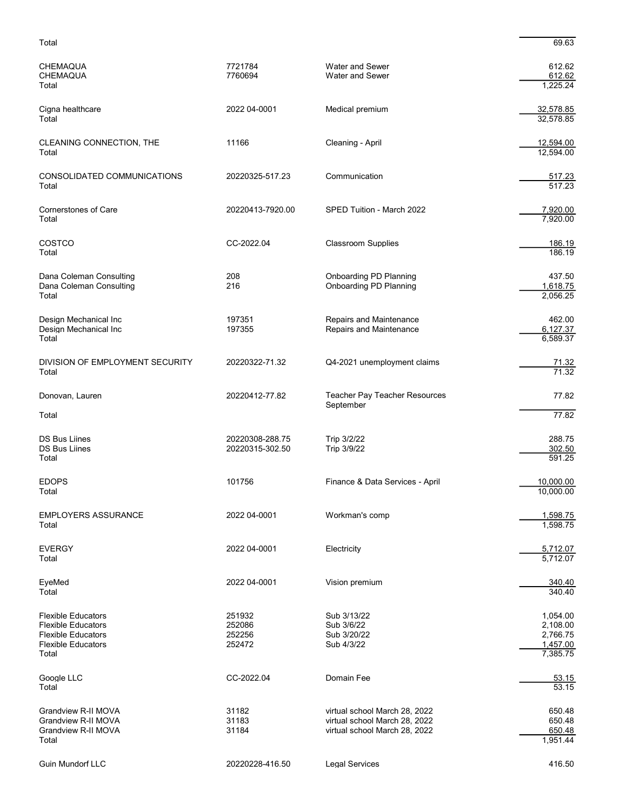| <b>CHEMAQUA</b><br><b>CHEMAQUA</b><br>Total                                                                               | 7721784<br>7760694                   | <b>Water and Sewer</b><br><b>Water and Sewer</b>                                                | 612.62<br>612.62<br>1,225.24                             |
|---------------------------------------------------------------------------------------------------------------------------|--------------------------------------|-------------------------------------------------------------------------------------------------|----------------------------------------------------------|
| Cigna healthcare<br>Total                                                                                                 | 2022 04-0001                         | Medical premium                                                                                 | 32,578.85<br>32,578.85                                   |
| CLEANING CONNECTION, THE<br>Total                                                                                         | 11166                                | Cleaning - April                                                                                | 12,594.00<br>12,594.00                                   |
| CONSOLIDATED COMMUNICATIONS<br>Total                                                                                      | 20220325-517.23                      | Communication                                                                                   | 517.23<br>517.23                                         |
| <b>Cornerstones of Care</b><br>Total                                                                                      | 20220413-7920.00                     | SPED Tuition - March 2022                                                                       | 7,920.00<br>7,920.00                                     |
| COSTCO<br>Total                                                                                                           | CC-2022.04                           | <b>Classroom Supplies</b>                                                                       | 186.19<br>186.19                                         |
| Dana Coleman Consulting<br>Dana Coleman Consulting<br>Total                                                               | 208<br>216                           | Onboarding PD Planning<br><b>Onboarding PD Planning</b>                                         | 437.50<br>1,618.75<br>2,056.25                           |
| Design Mechanical Inc<br>Design Mechanical Inc<br>Total                                                                   | 197351<br>197355                     | Repairs and Maintenance<br>Repairs and Maintenance                                              | 462.00<br>6,127.37<br>6,589.37                           |
| DIVISION OF EMPLOYMENT SECURITY<br>Total                                                                                  | 20220322-71.32                       | Q4-2021 unemployment claims                                                                     | $\frac{71.32}{71.32}$                                    |
| Donovan, Lauren                                                                                                           | 20220412-77.82                       | Teacher Pay Teacher Resources<br>September                                                      | 77.82                                                    |
| Total                                                                                                                     |                                      |                                                                                                 | 77.82                                                    |
| <b>DS Bus Liines</b><br><b>DS Bus Liines</b><br>Total                                                                     | 20220308-288.75<br>20220315-302.50   | Trip 3/2/22<br>Trip 3/9/22                                                                      | 288.75<br>302.50<br>591.25                               |
| <b>EDOPS</b><br>Total                                                                                                     | 101756                               | Finance & Data Services - April                                                                 | 10,000.00<br>10,000.00                                   |
| <b>EMPLOYERS ASSURANCE</b><br>Total                                                                                       | 2022 04-0001                         | Workman's comp                                                                                  | 1,598.75<br>1,598.75                                     |
| <b>EVERGY</b><br>Total                                                                                                    | 2022 04-0001                         | Electricity                                                                                     | 5,712.07<br>5,712.07                                     |
| EyeMed<br>Total                                                                                                           | 2022 04-0001                         | Vision premium                                                                                  | 340.40<br>340.40                                         |
| <b>Flexible Educators</b><br><b>Flexible Educators</b><br><b>Flexible Educators</b><br><b>Flexible Educators</b><br>Total | 251932<br>252086<br>252256<br>252472 | Sub 3/13/22<br>Sub 3/6/22<br>Sub 3/20/22<br>Sub 4/3/22                                          | 1,054.00<br>2,108.00<br>2,766.75<br>1,457.00<br>7,385.75 |
| Google LLC<br>Total                                                                                                       | CC-2022.04                           | Domain Fee                                                                                      | 53.15<br>53.15                                           |
| Grandview R-II MOVA<br>Grandview R-II MOVA<br>Grandview R-II MOVA<br>Total                                                | 31182<br>31183<br>31184              | virtual school March 28, 2022<br>virtual school March 28, 2022<br>virtual school March 28, 2022 | 650.48<br>650.48<br>650.48<br>1,951.44                   |
| Guin Mundorf LLC                                                                                                          | 20220228-416.50                      | <b>Legal Services</b>                                                                           | 416.50                                                   |

Total 69.63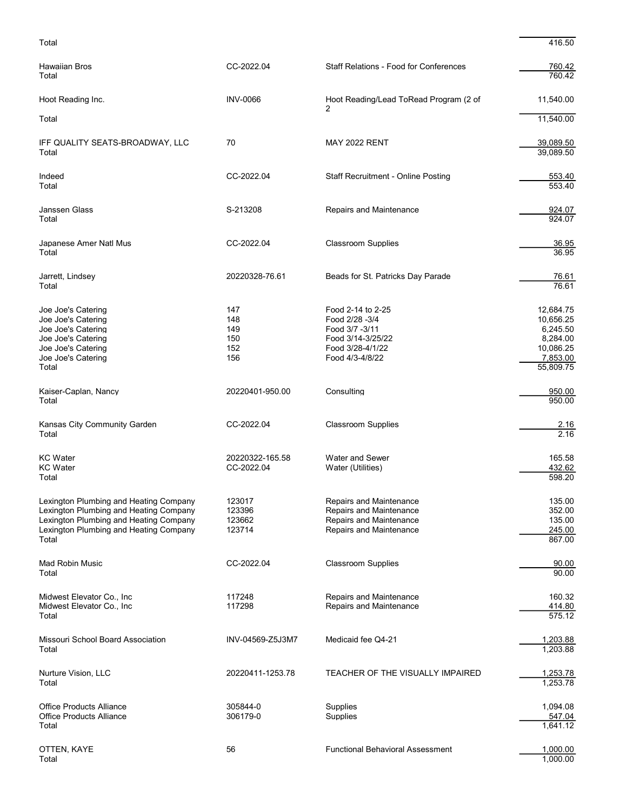```
Total 416.50
```

| Hawaiian Bros<br>Total                                                                                                                                                        | CC-2022.04                             | <b>Staff Relations - Food for Conferences</b>                                                                     | 760.42<br>760.42                                                                     |
|-------------------------------------------------------------------------------------------------------------------------------------------------------------------------------|----------------------------------------|-------------------------------------------------------------------------------------------------------------------|--------------------------------------------------------------------------------------|
| Hoot Reading Inc.                                                                                                                                                             | <b>INV-0066</b>                        | Hoot Reading/Lead ToRead Program (2 of<br>2                                                                       | 11,540.00                                                                            |
| Total                                                                                                                                                                         |                                        |                                                                                                                   | 11,540.00                                                                            |
| IFF QUALITY SEATS-BROADWAY, LLC<br>Total                                                                                                                                      | 70                                     | <b>MAY 2022 RENT</b>                                                                                              | 39,089.50<br>39,089.50                                                               |
| Indeed<br>Total                                                                                                                                                               | CC-2022.04                             | <b>Staff Recruitment - Online Posting</b>                                                                         | 553.40<br>553.40                                                                     |
| Janssen Glass<br>Total                                                                                                                                                        | S-213208                               | Repairs and Maintenance                                                                                           | 924.07<br>924.07                                                                     |
| Japanese Amer Natl Mus<br>Total                                                                                                                                               | CC-2022.04                             | <b>Classroom Supplies</b>                                                                                         | 36.95<br>36.95                                                                       |
| Jarrett, Lindsey<br>Total                                                                                                                                                     | 20220328-76.61                         | Beads for St. Patricks Day Parade                                                                                 | 76.61<br>76.61                                                                       |
| Joe Joe's Catering<br>Joe Joe's Catering<br>Joe Joe's Catering<br>Joe Joe's Catering<br>Joe Joe's Catering<br>Joe Joe's Catering<br>Total                                     | 147<br>148<br>149<br>150<br>152<br>156 | Food 2-14 to 2-25<br>Food 2/28 -3/4<br>Food 3/7 -3/11<br>Food 3/14-3/25/22<br>Food 3/28-4/1/22<br>Food 4/3-4/8/22 | 12,684.75<br>10,656.25<br>6,245.50<br>8,284.00<br>10,086.25<br>7,853.00<br>55,809.75 |
| Kaiser-Caplan, Nancy<br>Total                                                                                                                                                 | 20220401-950.00                        | Consulting                                                                                                        | 950.00<br>950.00                                                                     |
| Kansas City Community Garden<br>Total                                                                                                                                         | CC-2022.04                             | <b>Classroom Supplies</b>                                                                                         | 2.16<br>2.16                                                                         |
| <b>KC</b> Water<br><b>KC</b> Water<br>Total                                                                                                                                   | 20220322-165.58<br>CC-2022.04          | Water and Sewer<br>Water (Utilities)                                                                              | 165.58<br>432.62<br>598.20                                                           |
| Lexington Plumbing and Heating Company<br>Lexington Plumbing and Heating Company<br>Lexington Plumbing and Heating Company<br>Lexington Plumbing and Heating Company<br>Total | 123017<br>123396<br>123662<br>123714   | Repairs and Maintenance<br>Repairs and Maintenance<br>Repairs and Maintenance<br>Repairs and Maintenance          | 135.00<br>352.00<br>135.00<br>245.00<br>867.00                                       |
| <b>Mad Robin Music</b><br>Total                                                                                                                                               | CC-2022.04                             | <b>Classroom Supplies</b>                                                                                         | 90.00<br>90.00                                                                       |
| Midwest Elevator Co., Inc.<br>Midwest Elevator Co., Inc.<br>Total                                                                                                             | 117248<br>117298                       | Repairs and Maintenance<br>Repairs and Maintenance                                                                | 160.32<br>414.80<br>575.12                                                           |
| Missouri School Board Association<br>Total                                                                                                                                    | INV-04569-Z5J3M7                       | Medicaid fee Q4-21                                                                                                | 1,203.88<br>1,203.88                                                                 |
| Nurture Vision, LLC<br>Total                                                                                                                                                  | 20220411-1253.78                       | TEACHER OF THE VISUALLY IMPAIRED                                                                                  | 1,253.78<br>1,253.78                                                                 |
| <b>Office Products Alliance</b><br><b>Office Products Alliance</b><br>Total                                                                                                   | 305844-0<br>306179-0                   | Supplies<br>Supplies                                                                                              | 1,094.08<br>547.04<br>1,641.12                                                       |
| OTTEN, KAYE<br>Total                                                                                                                                                          | 56                                     | <b>Functional Behavioral Assessment</b>                                                                           | 1,000.00<br>1,000.00                                                                 |